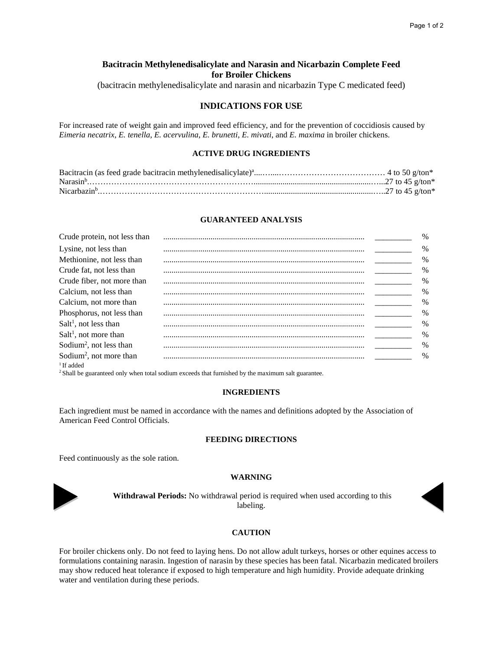# **Bacitracin Methylenedisalicylate and Narasin and Nicarbazin Complete Feed for Broiler Chickens**

(bacitracin methylenedisalicylate and narasin and nicarbazin Type C medicated feed)

## **INDICATIONS FOR USE**

For increased rate of weight gain and improved feed efficiency, and for the prevention of coccidiosis caused by *Eimeria necatrix*, *E. tenella*, *E. acervulina*, *E. brunetti*, *E. mivati*, and *E. maxima* in broiler chickens.

## **ACTIVE DRUG INGREDIENTS**

## **GUARANTEED ANALYSIS**

| Crude protein, not less than        | $\%$          |
|-------------------------------------|---------------|
| Lysine, not less than               | $\%$          |
| Methionine, not less than           | $\frac{0}{0}$ |
| Crude fat, not less than            | $\%$          |
| Crude fiber, not more than          | $\%$          |
| Calcium, not less than              | $\frac{0}{0}$ |
| Calcium, not more than              | $\%$          |
| Phosphorus, not less than           | $\frac{0}{0}$ |
| $Salt1$ , not less than             | $\frac{0}{0}$ |
| $Salt1$ , not more than             | $\frac{0}{0}$ |
| Sodium <sup>2</sup> , not less than | $\frac{0}{0}$ |
| Sodium <sup>2</sup> , not more than | $\frac{0}{0}$ |
| $1$ If added                        |               |

2 Shall be guaranteed only when total sodium exceeds that furnished by the maximum salt guarantee.

#### **INGREDIENTS**

Each ingredient must be named in accordance with the names and definitions adopted by the Association of American Feed Control Officials.

#### **FEEDING DIRECTIONS**

Feed continuously as the sole ration.

#### **WARNING**



**Withdrawal Periods:** No withdrawal period is required when used according to this labeling.



#### **CAUTION**

For broiler chickens only. Do not feed to laying hens. Do not allow adult turkeys, horses or other equines access to formulations containing narasin. Ingestion of narasin by these species has been fatal. Nicarbazin medicated broilers may show reduced heat tolerance if exposed to high temperature and high humidity. Provide adequate drinking water and ventilation during these periods.